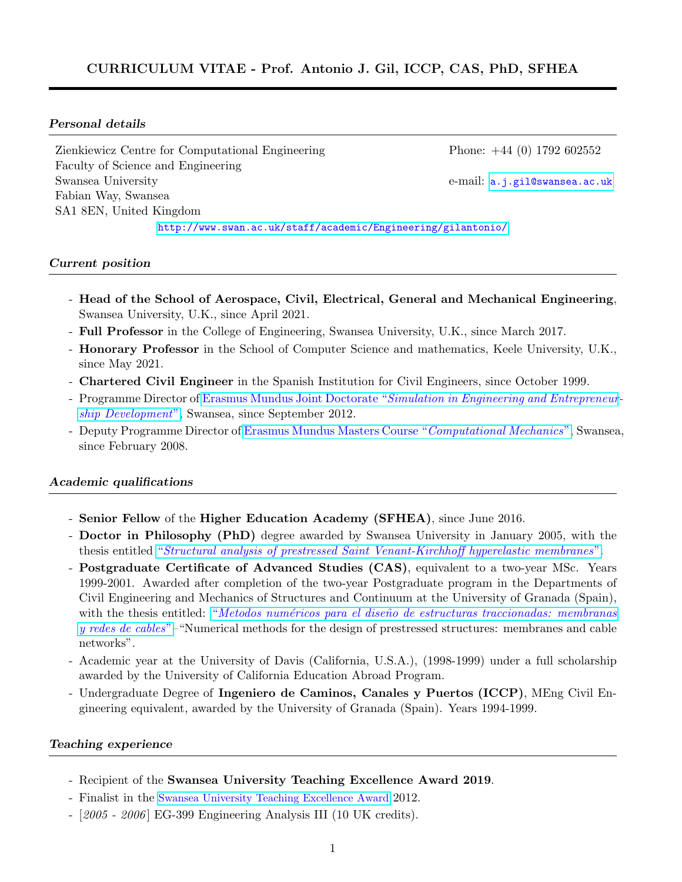### Personal details

Zienkiewicz Centre for Computational Engineering Phone: +44 (0) 1792 602552 Faculty of Science and Engineering Swansea University e-mail: <a.j.gil@swansea.ac.uk> Fabian Way, Swansea SA1 8EN, United Kingdom

<http://www.swan.ac.uk/staff/academic/Engineering/gilantonio/>

### Current position

- Head of the School of Aerospace, Civil, Electrical, General and Mechanical Engineering, Swansea University, U.K., since April 2021.
- Full Professor in the College of Engineering, Swansea University, U.K., since March 2017.
- Honorary Professor in the School of Computer Science and mathematics, Keele University, U.K., since May 2021.
- Chartered Civil Engineer in the Spanish Institution for Civil Engineers, since October 1999.
- Programme Director of Erasmus Mundus Joint Doctorate "[Simulation in Engineering and Entrepreneur](http://www.cimne.com/emjd-seed/)[ship Development](http://www.cimne.com/emjd-seed/)", Swansea, since September 2012.
- Deputy Programme Director of [Erasmus Mundus Masters Course "](http://www.cimne.com/cm)Computational Mechanics", Swansea, since February 2008.

### Academic qualifications

- Senior Fellow of the Higher Education Academy (SFHEA), since June 2016.
- Doctor in Philosophy (PhD) degree awarded by Swansea University in January 2005, with the thesis entitled "[Structural analysis of prestressed Saint Venant-Kirchhoff hyperelastic membranes](https://ifind.swan.ac.uk/discover/Record/477258#.VAR40dh0xaQ)".
- Postgraduate Certificate of Advanced Studies (CAS), equivalent to a two-year MSc. Years 1999-2001. Awarded after completion of the two-year Postgraduate program in the Departments of Civil Engineering and Mechanics of Structures and Continuum at the University of Granada (Spain), with the thesis entitled: "Metodos numéricos para el diseño de estructuras traccionadas: membranas [y redes de cables](http://dialnet.unirioja.es/servlet/libro?codigo=29005)"–"Numerical methods for the design of prestressed structures: membranes and cable networks".
- Academic year at the University of Davis (California, U.S.A.), (1998-1999) under a full scholarship awarded by the University of California Education Abroad Program.
- Undergraduate Degree of Ingeniero de Caminos, Canales y Puertos (ICCP), MEng Civil Engineering equivalent, awarded by the University of Granada (Spain). Years 1994-1999.

#### Teaching experience

- Recipient of the Swansea University Teaching Excellence Award 2019.
- Finalist in the [Swansea University Teaching Excellence Award](http://www.youtube.com/watch?v=D4oXtXJOMzM) 2012.
- [2005 2006] EG-399 Engineering Analysis III (10 UK credits).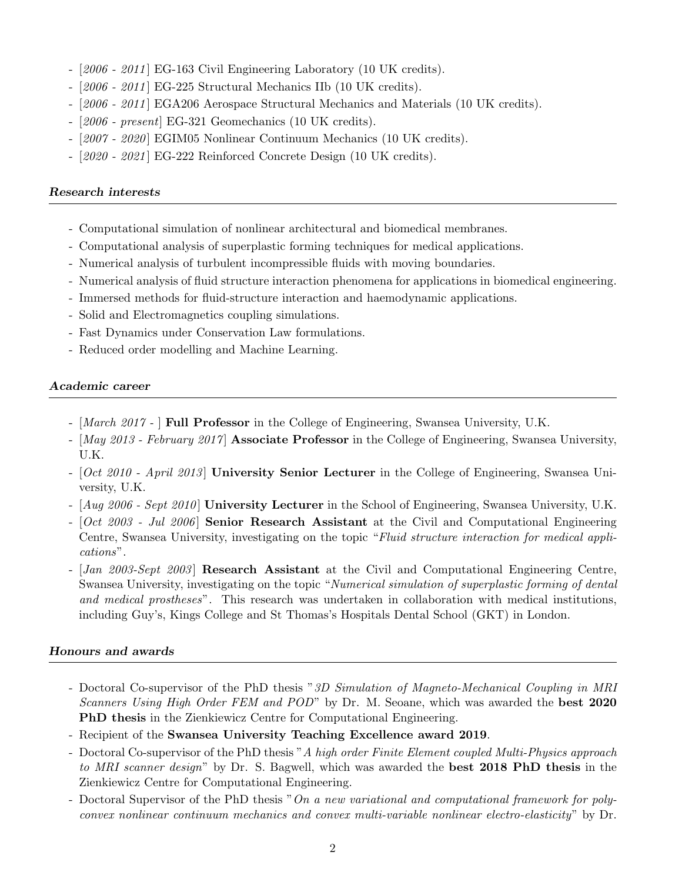- $-$  [2006 2011] EG-163 Civil Engineering Laboratory (10 UK credits).
- [2006 2011] EG-225 Structural Mechanics IIb (10 UK credits).
- [2006 2011] EGA206 Aerospace Structural Mechanics and Materials (10 UK credits).
- [2006 present] EG-321 Geomechanics (10 UK credits).
- [2007 2020 ] EGIM05 Nonlinear Continuum Mechanics (10 UK credits).
- $[2020$   $2021]$  EG-222 Reinforced Concrete Design (10 UK credits).

# Research interests

- Computational simulation of nonlinear architectural and biomedical membranes.
- Computational analysis of superplastic forming techniques for medical applications.
- Numerical analysis of turbulent incompressible fluids with moving boundaries.
- Numerical analysis of fluid structure interaction phenomena for applications in biomedical engineering.
- Immersed methods for fluid-structure interaction and haemodynamic applications.
- Solid and Electromagnetics coupling simulations.
- Fast Dynamics under Conservation Law formulations.
- Reduced order modelling and Machine Learning.

# Academic career

- [March 2017 ] **Full Professor** in the College of Engineering, Swansea University, U.K.
- [May 2013 February 2017] Associate Professor in the College of Engineering, Swansea University, U.K.
- [Oct 2010 April 2013] University Senior Lecturer in the College of Engineering, Swansea University, U.K.
- $[Aug 2006 Sept 2010]$  University Lecturer in the School of Engineering, Swansea University, U.K.
- $[Oct 2003 Jul 2006]$  Senior Research Assistant at the Civil and Computational Engineering Centre, Swansea University, investigating on the topic "Fluid structure interaction for medical applications".
- [Jan 2003-Sept 2003] Research Assistant at the Civil and Computational Engineering Centre, Swansea University, investigating on the topic "Numerical simulation of superplastic forming of dental and medical prostheses". This research was undertaken in collaboration with medical institutions, including Guy's, Kings College and St Thomas's Hospitals Dental School (GKT) in London.

# Honours and awards

- Doctoral Co-supervisor of the PhD thesis "3D Simulation of Magneto-Mechanical Coupling in MRI Scanners Using High Order FEM and POD" by Dr. M. Seoane, which was awarded the **best 2020** PhD thesis in the Zienkiewicz Centre for Computational Engineering.
- Recipient of the Swansea University Teaching Excellence award 2019.
- Doctoral Co-supervisor of the PhD thesis "A high order Finite Element coupled Multi-Physics approach to MRI scanner design" by Dr. S. Bagwell, which was awarded the **best 2018 PhD thesis** in the Zienkiewicz Centre for Computational Engineering.
- Doctoral Supervisor of the PhD thesis "On a new variational and computational framework for polyconvex nonlinear continuum mechanics and convex multi-variable nonlinear electro-elasticity" by Dr.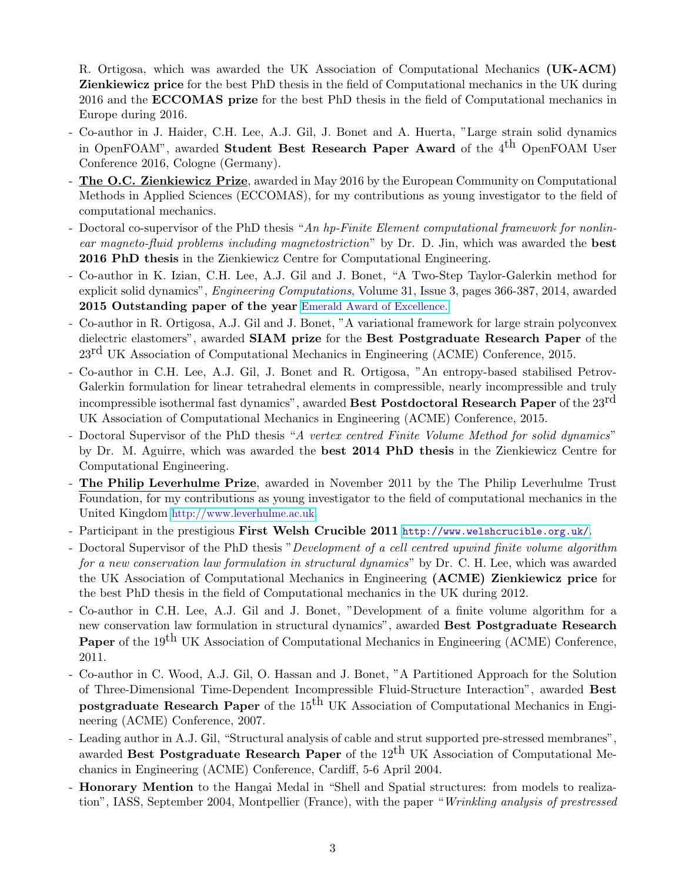R. Ortigosa, which was awarded the UK Association of Computational Mechanics (UK-ACM) Zienkiewicz price for the best PhD thesis in the field of Computational mechanics in the UK during 2016 and the ECCOMAS prize for the best PhD thesis in the field of Computational mechanics in Europe during 2016.

- Co-author in J. Haider, C.H. Lee, A.J. Gil, J. Bonet and A. Huerta, "Large strain solid dynamics in OpenFOAM", awarded **Student Best Research Paper Award** of the  $4<sup>th</sup>$  OpenFOAM User Conference 2016, Cologne (Germany).
- The O.C. Zienkiewicz Prize, awarded in May 2016 by the European Community on Computational Methods in Applied Sciences (ECCOMAS), for my contributions as young investigator to the field of computational mechanics.
- Doctoral co-supervisor of the PhD thesis "An hp-Finite Element computational framework for nonlinear magneto-fluid problems including magnetostriction" by Dr. D. Jin, which was awarded the best 2016 PhD thesis in the Zienkiewicz Centre for Computational Engineering.
- Co-author in K. Izian, C.H. Lee, A.J. Gil and J. Bonet, "A Two-Step Taylor-Galerkin method for explicit solid dynamics", *Engineering Computations*, Volume 31, Issue 3, pages 366-387, 2014, awarded 2015 Outstanding paper of the year [Emerald Award of Excellence.](http://www.emeraldgrouppublishing.com/authors/literati/awards.htm?year=2015)
- Co-author in R. Ortigosa, A.J. Gil and J. Bonet, "A variational framework for large strain polyconvex dielectric elastomers", awarded SIAM prize for the Best Postgraduate Research Paper of the  $23<sup>rd</sup>$  UK Association of Computational Mechanics in Engineering (ACME) Conference, 2015.
- Co-author in C.H. Lee, A.J. Gil, J. Bonet and R. Ortigosa, "An entropy-based stabilised Petrov-Galerkin formulation for linear tetrahedral elements in compressible, nearly incompressible and truly incompressible isothermal fast dynamics", awarded Best Postdoctoral Research Paper of the 23<sup>rd</sup> UK Association of Computational Mechanics in Engineering (ACME) Conference, 2015.
- Doctoral Supervisor of the PhD thesis "A vertex centred Finite Volume Method for solid dynamics" by Dr. M. Aguirre, which was awarded the best 2014 PhD thesis in the Zienkiewicz Centre for Computational Engineering.
- The Philip Leverhulme Prize, awarded in November 2011 by the The Philip Leverhulme Trust Foundation, for my contributions as young investigator to the field of computational mechanics in the United Kingdom [http://www.leverhulme.ac.uk](http://www.leverhulme.ac.uk/files/seealsodocs/1014/Jan2012.PDF/).
- Participant in the prestigious First Welsh Crucible 2011 <http://www.welshcrucible.org.uk/>.
- Doctoral Supervisor of the PhD thesis "Development of a cell centred upwind finite volume algorithm for a new conservation law formulation in structural dynamics" by Dr. C. H. Lee, which was awarded the UK Association of Computational Mechanics in Engineering (ACME) Zienkiewicz price for the best PhD thesis in the field of Computational mechanics in the UK during 2012.
- Co-author in C.H. Lee, A.J. Gil and J. Bonet, "Development of a finite volume algorithm for a new conservation law formulation in structural dynamics", awarded Best Postgraduate Research Paper of the 19<sup>th</sup> UK Association of Computational Mechanics in Engineering (ACME) Conference, 2011.
- Co-author in C. Wood, A.J. Gil, O. Hassan and J. Bonet, "A Partitioned Approach for the Solution of Three-Dimensional Time-Dependent Incompressible Fluid-Structure Interaction", awarded Best **postgraduate Research Paper** of the 15<sup>th</sup> UK Association of Computational Mechanics in Engineering (ACME) Conference, 2007.
- Leading author in A.J. Gil, "Structural analysis of cable and strut supported pre-stressed membranes", awarded Best Postgraduate Research Paper of the  $12<sup>th</sup>$  UK Association of Computational Mechanics in Engineering (ACME) Conference, Cardiff, 5-6 April 2004.
- Honorary Mention to the Hangai Medal in "Shell and Spatial structures: from models to realization", IASS, September 2004, Montpellier (France), with the paper "Wrinkling analysis of prestressed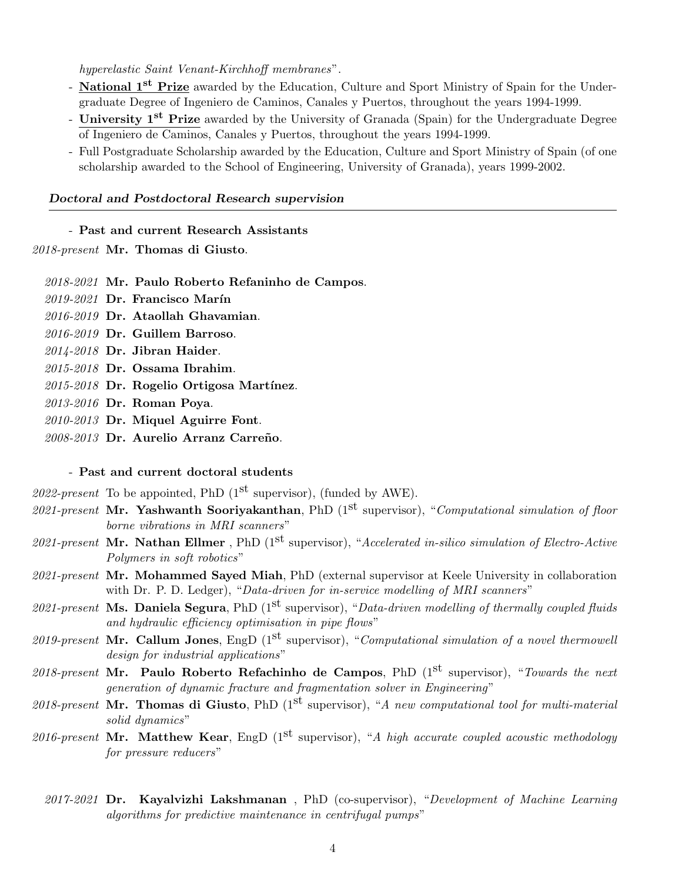hyperelastic Saint Venant-Kirchhoff membranes".

- National 1<sup>st</sup> Prize awarded by the Education, Culture and Sport Ministry of Spain for the Undergraduate Degree of Ingeniero de Caminos, Canales y Puertos, throughout the years 1994-1999.
- University 1<sup>st</sup> Prize awarded by the University of Granada (Spain) for the Undergraduate Degree of Ingeniero de Caminos, Canales y Puertos, throughout the years 1994-1999.
- Full Postgraduate Scholarship awarded by the Education, Culture and Sport Ministry of Spain (of one scholarship awarded to the School of Engineering, University of Granada), years 1999-2002.

### Doctoral and Postdoctoral Research supervision

- Past and current Research Assistants

2018-present Mr. Thomas di Giusto.

2018-2021 Mr. Paulo Roberto Refaninho de Campos.

- 2019-2021 Dr. Francisco Marín
- 2016-2019 Dr. Ataollah Ghavamian.
- 2016-2019 Dr. Guillem Barroso.
- 2014-2018 Dr. Jibran Haider.
- 2015-2018 Dr. Ossama Ibrahim.
- $2015-2018$  Dr. Rogelio Ortigosa Martínez.
- 2013-2016 Dr. Roman Poya.
- 2010-2013 Dr. Miquel Aguirre Font.
- 2008-2013 Dr. Aurelio Arranz Carreño.

# - Past and current doctoral students

- 2022-present To be appointed, PhD  $(1^{st}$  supervisor), (funded by AWE).
- 2021-present Mr. Yashwanth Sooriyakanthan, PhD  $(1^{st}$  supervisor), "Computational simulation of floor borne vibrations in MRI scanners"
- 2021-present Mr. Nathan Ellmer, PhD ( $1<sup>st</sup>$  supervisor), "Accelerated in-silico simulation of Electro-Active Polymers in soft robotics"
- 2021-present Mr. Mohammed Sayed Miah, PhD (external supervisor at Keele University in collaboration with Dr. P. D. Ledger), "Data-driven for in-service modelling of MRI scanners"
- 2021-present Ms. Daniela Segura, PhD (1<sup>st</sup> supervisor), "Data-driven modelling of thermally coupled fluids and hydraulic efficiency optimisation in pipe flows"
- 2019-present Mr. Callum Jones, EngD (1<sup>st</sup> supervisor), "Computational simulation of a novel thermowell design for industrial applications"
- 2018-present Mr. Paulo Roberto Refachinho de Campos, PhD  $(1^{st}$  supervisor), "Towards the next generation of dynamic fracture and fragmentation solver in Engineering"
- 2018-present Mr. Thomas di Giusto, PhD ( $1<sup>st</sup>$  supervisor), "A new computational tool for multi-material solid dynamics"
- 2016-present Mr. Matthew Kear, EngD  $(1^{st}$  supervisor), "A high accurate coupled acoustic methodology for pressure reducers"
	- 2017-2021 Dr. Kayalvizhi Lakshmanan, PhD (co-supervisor), "Development of Machine Learning algorithms for predictive maintenance in centrifugal pumps"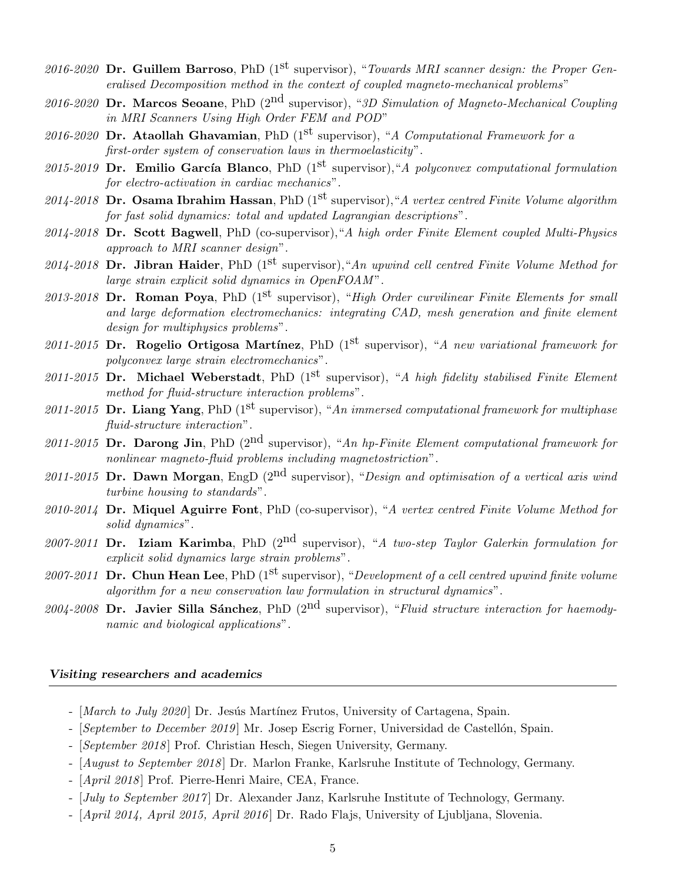- 2016-2020 Dr. Guillem Barroso, PhD (1<sup>st</sup> supervisor), "Towards MRI scanner design: the Proper Generalised Decomposition method in the context of coupled magneto-mechanical problems"
- 2016-2020 Dr. Marcos Seoane, PhD  $(2<sup>nd</sup>$  supervisor), "3D Simulation of Magneto-Mechanical Coupling in MRI Scanners Using High Order FEM and POD"
- 2016-2020 Dr. Ataollah Ghavamian, PhD (1<sup>st</sup> supervisor), "A Computational Framework for a first-order system of conservation laws in thermoelasticity".
- 2015-2019 Dr. Emilio García Blanco, PhD (1<sup>st</sup> supervisor), "A polyconvex computational formulation for electro-activation in cardiac mechanics".
- 2014-2018 Dr. Osama Ibrahim Hassan, PhD (1<sup>st</sup> supervisor), "A vertex centred Finite Volume algorithm for fast solid dynamics: total and updated Lagrangian descriptions".
- 2014-2018 Dr. Scott Bagwell, PhD (co-supervisor), "A high order Finite Element coupled Multi-Physics approach to MRI scanner design".
- 2014-2018 Dr. Jibran Haider, PhD (1<sup>st</sup> supervisor), "An upwind cell centred Finite Volume Method for large strain explicit solid dynamics in OpenFOAM".
- 2013-2018 Dr. Roman Poya, PhD (1<sup>st</sup> supervisor), "High Order curvilinear Finite Elements for small and large deformation electromechanics: integrating CAD, mesh generation and finite element design for multiphysics problems".
- 2011-2015 Dr. Rogelio Ortigosa Martínez, PhD ( $1<sup>st</sup>$  supervisor), "A new variational framework for polyconvex large strain electromechanics".
- 2011-2015 Dr. Michael Weberstadt, PhD (1<sup>st</sup> supervisor), "A high fidelity stabilised Finite Element method for fluid-structure interaction problems".
- 2011-2015 Dr. Liang Yang, PhD (1<sup>st</sup> supervisor), "An immersed computational framework for multiphase fluid-structure interaction".
- 2011-2015 Dr. Darong Jin, PhD (2<sup>nd</sup> supervisor), "An hp-Finite Element computational framework for nonlinear magneto-fluid problems including magnetostriction".
- 2011-2015 Dr. Dawn Morgan, EngD  $(2^{nd}$  supervisor), "Design and optimisation of a vertical axis wind turbine housing to standards".
- 2010-2014 Dr. Miquel Aguirre Font, PhD (co-supervisor), "A vertex centred Finite Volume Method for solid dynamics".
- 2007-2011 Dr. Iziam Karimba, PhD  $(2^{nd}$  supervisor), "A two-step Taylor Galerkin formulation for explicit solid dynamics large strain problems".
- 2007-2011 Dr. Chun Hean Lee, PhD ( $1^{st}$  supervisor), "Development of a cell centred upwind finite volume algorithm for a new conservation law formulation in structural dynamics".
- 2004-2008 Dr. Javier Silla Sánchez, PhD (2<sup>nd</sup> supervisor), "Fluid structure interaction for haemodynamic and biological applications".

### Visiting researchers and academics

- [March to July 2020] Dr. Jesús Martínez Frutos, University of Cartagena, Spain.
- [September to December 2019] Mr. Josep Escrig Forner, Universidad de Castellón, Spain.
- [September 2018] Prof. Christian Hesch, Siegen University, Germany.
- [August to September 2018] Dr. Marlon Franke, Karlsruhe Institute of Technology, Germany.
- [April 2018 ] Prof. Pierre-Henri Maire, CEA, France.
- [July to September 2017] Dr. Alexander Janz, Karlsruhe Institute of Technology, Germany.
- [April 2014, April 2015, April 2016] Dr. Rado Flajs, University of Ljubljana, Slovenia.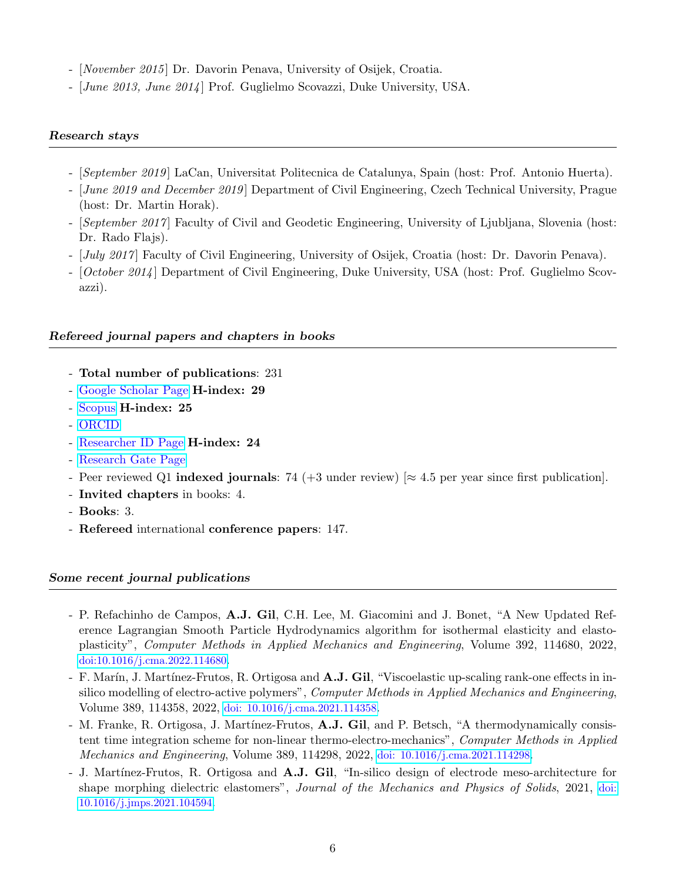- *November 2015* Dr. Davorin Penava, University of Osijek, Croatia.
- [June 2013, June 2014] Prof. Guglielmo Scovazzi, Duke University, USA.

### Research stays

- [September 2019 ] LaCan, Universitat Politecnica de Catalunya, Spain (host: Prof. Antonio Huerta).
- *[June 2019 and December 2019]* Department of Civil Engineering, Czech Technical University, Prague (host: Dr. Martin Horak).
- *[September 2017*] Faculty of Civil and Geodetic Engineering, University of Ljubljana, Slovenia (host: Dr. Rado Flajs).
- [July 2017] Faculty of Civil Engineering, University of Osijek, Croatia (host: Dr. Davorin Penava).
- [*October 2014*] Department of Civil Engineering, Duke University, USA (host: Prof. Guglielmo Scovazzi).

#### Refereed journal papers and chapters in books

- Total number of publications: 231
- [Google Scholar Page](http://scholar.google.co.uk/citations?user=IqFZZBoAAAAJ&hl=en) H-index: 29
- [Scopus](http://www.scopus.com/authid/detail.url?authorId=24398903400&origin=AuthorEval) H-index: 25
- [ORCID](http://orcid.org/0000-0001-7753-1414)
- [Researcher ID Page](http://www.researcherid.com/rid/J-9002-2014) H-index: 24
- [Research Gate Page](https://www.researchgate.net/profile/Antonio_Gil5?ev=hdr_xprf)
- Peer reviewed Q1 indexed journals: 74 (+3 under review) [ $\approx$  4.5 per year since first publication].
- Invited chapters in books: 4.
- Books: 3.
- Refereed international conference papers: 147.

#### Some recent journal publications

- P. Refachinho de Campos, A.J. Gil, C.H. Lee, M. Giacomini and J. Bonet, "A New Updated Reference Lagrangian Smooth Particle Hydrodynamics algorithm for isothermal elasticity and elastoplasticity", Computer Methods in Applied Mechanics and Engineering, Volume 392, 114680, 2022, [doi:10.1016/j.cma.2022.114680](https://www.sciencedirect.com/science/article/pii/S0045782522000664?via%3Dihub).
- F. Marín, J. Martínez-Frutos, R. Ortigosa and A.J. Gil, "Viscoelastic up-scaling rank-one effects in insilico modelling of electro-active polymers", Computer Methods in Applied Mechanics and Engineering, Volume 389, 114358, 2022, [doi: 10.1016/j.cma.2021.114358](https://www.sciencedirect.com/science/article/pii/S0045782521006319?via%3Dihub).
- M. Franke, R. Ortigosa, J. Martínez-Frutos, A.J. Gil, and P. Betsch, "A thermodynamically consistent time integration scheme for non-linear thermo-electro-mechanics", Computer Methods in Applied Mechanics and Engineering, Volume 389, 114298, 2022, [doi: 10.1016/j.cma.2021.114298](https://www.sciencedirect.com/science/article/pii/S0045782521005922?via%3Dihub).
- J. Martínez-Frutos, R. Ortigosa and **A.J. Gil**, "In-silico design of electrode meso-architecture for shape morphing dielectric elastomers", Journal of the Mechanics and Physics of Solids, 2021, [doi:](https://www.sciencedirect.com/science/article/pii/S0022509621002386) [10.1016/j.jmps.2021.104594](https://www.sciencedirect.com/science/article/pii/S0022509621002386).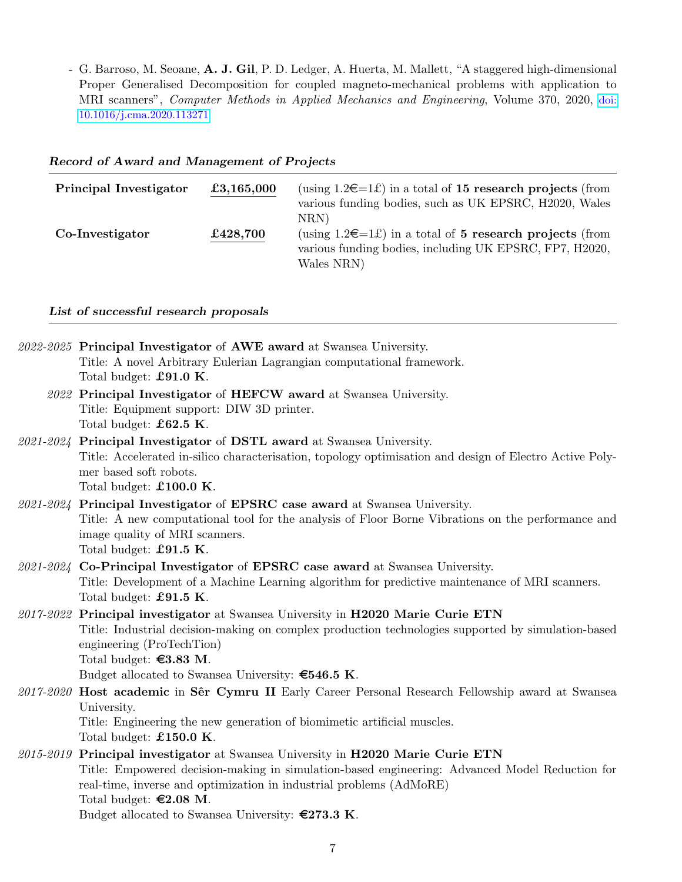- G. Barroso, M. Seoane, A. J. Gil, P. D. Ledger, A. Huerta, M. Mallett, "A staggered high-dimensional Proper Generalised Decomposition for coupled magneto-mechanical problems with application to MRI scanners", Computer Methods in Applied Mechanics and Engineering, Volume 370, 2020, [doi:](https://www.sciencedirect.com/science/article/pii/S0045782520304564?via%3Dihub) [10.1016/j.cma.2020.113271](https://www.sciencedirect.com/science/article/pii/S0045782520304564?via%3Dihub)

| <b>Principal Investigator</b> | £3,165,000 | (using $1.2\epsilon=1\epsilon$ ) in a total of 15 research projects (from<br>various funding bodies, such as UK EPSRC, H2020, Wales<br>NRN |
|-------------------------------|------------|--------------------------------------------------------------------------------------------------------------------------------------------|
| Co-Investigator               | £428,700   | (using $1.2 \in \pm 1$ ) in a total of 5 research projects (from<br>various funding bodies, including UK EPSRC, FP7, H2020,<br>Wales NRN)  |

# Record of Award and Management of Projects

### List of successful research proposals

| 2022-2025 Principal Investigator of AWE award at Swansea University.                                    |
|---------------------------------------------------------------------------------------------------------|
| Title: A novel Arbitrary Eulerian Lagrangian computational framework.                                   |
| Total budget: £91.0 $K$ .                                                                               |
| 2022 Principal Investigator of HEFCW award at Swansea University.                                       |
| Title: Equipment support: DIW 3D printer.                                                               |
| Total budget: $£62.5$ K.                                                                                |
| 2021-2024 Principal Investigator of DSTL award at Swansea University.                                   |
| Title: Accelerated in-silico characterisation, topology optimisation and design of Electro Active Poly- |
| mer based soft robots.                                                                                  |
| Total budget: $£100.0 K$ .                                                                              |
| 2021-2024 Principal Investigator of EPSRC case award at Swansea University.                             |
| Title: A new computational tool for the analysis of Floor Borne Vibrations on the performance and       |
| image quality of MRI scanners.                                                                          |
| Total budget: £91.5 $K$ .                                                                               |
| 2021-2024 Co-Principal Investigator of EPSRC case award at Swansea University.                          |
| Title: Development of a Machine Learning algorithm for predictive maintenance of MRI scanners.          |
| Total budget: $£91.5$ K.                                                                                |
| 2017-2022 Principal investigator at Swansea University in H2020 Marie Curie ETN                         |
| Title: Industrial decision-making on complex production technologies supported by simulation-based      |
| engineering (ProTechTion)                                                                               |
| Total budget: $\textbf{\textsterling}3.83 M$ .                                                          |
| Budget allocated to Swansea University: $\epsilon$ 546.5 K.                                             |
| 2017-2020 Host academic in Sêr Cymru II Early Career Personal Research Fellowship award at Swansea      |
| University.                                                                                             |
| Title: Engineering the new generation of biomimetic artificial muscles.                                 |
| Total budget: $\pounds150.0$ K.                                                                         |
| 2015-2019 Principal investigator at Swansea University in H2020 Marie Curie ETN                         |
| Title: Empowered decision-making in simulation-based engineering: Advanced Model Reduction for          |
| real-time, inverse and optimization in industrial problems (AdMoRE)                                     |
| Total budget: $\epsilon$ 2.08 M.                                                                        |
| Budget allocated to Swansea University: $\epsilon$ 273.3 K.                                             |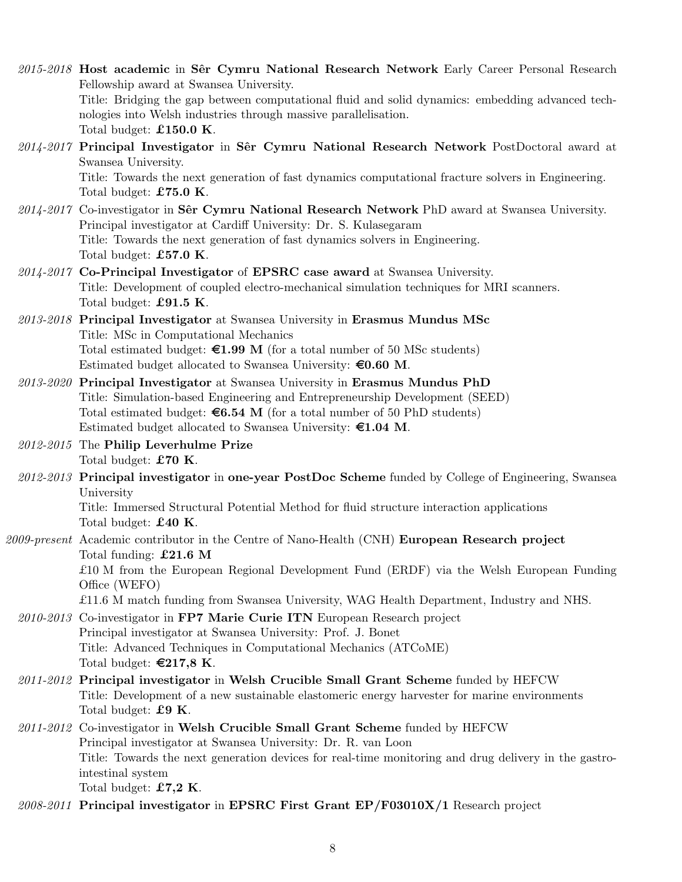- 2015-2018 Host academic in Sêr Cymru National Research Network Early Career Personal Research Fellowship award at Swansea University. Title: Bridging the gap between computational fluid and solid dynamics: embedding advanced technologies into Welsh industries through massive parallelisation. Total budget: £150.0 K.
- $2014-2017$  Principal Investigator in Sêr Cymru National Research Network PostDoctoral award at Swansea University. Title: Towards the next generation of fast dynamics computational fracture solvers in Engineering. Total budget: £75.0 K.
- 2014-2017 Co-investigator in Sêr Cymru National Research Network PhD award at Swansea University. Principal investigator at Cardiff University: Dr. S. Kulasegaram Title: Towards the next generation of fast dynamics solvers in Engineering. Total budget: £57.0 K.
- 2014-2017 Co-Principal Investigator of EPSRC case award at Swansea University. Title: Development of coupled electro-mechanical simulation techniques for MRI scanners. Total budget: £91.5 K.
- $2013$ - $2018$  Principal Investigator at Swansea University in Erasmus Mundus MSc Title: MSc in Computational Mechanics Total estimated budget:  $\epsilon 1.99$  M (for a total number of 50 MSc students) Estimated budget allocated to Swansea University:  $\epsilon$ 0.60 M.
- 2013-2020 Principal Investigator at Swansea University in Erasmus Mundus PhD Title: Simulation-based Engineering and Entrepreneurship Development (SEED) Total estimated budget:  $\epsilon 6.54$  M (for a total number of 50 PhD students) Estimated budget allocated to Swansea University:  $\epsilon$ 1.04 M.
- 2012-2015 The Philip Leverhulme Prize Total budget: £70 K.
- 2012-2013 Principal investigator in one-year PostDoc Scheme funded by College of Engineering, Swansea University

Title: Immersed Structural Potential Method for fluid structure interaction applications Total budget: £40 K.

- 2009-present Academic contributor in the Centre of Nano-Health (CNH) **European Research project** Total funding: £21.6 M £10 M from the European Regional Development Fund (ERDF) via the Welsh European Funding Office (WEFO) £11.6 M match funding from Swansea University, WAG Health Department, Industry and NHS.
	- 2010-2013 Co-investigator in FP7 Marie Curie ITN European Research project Principal investigator at Swansea University: Prof. J. Bonet Title: Advanced Techniques in Computational Mechanics (ATCoME) Total budget:  $\epsilon$ 217,8 K.
	- $2011-2012$  Principal investigator in Welsh Crucible Small Grant Scheme funded by HEFCW Title: Development of a new sustainable elastomeric energy harvester for marine environments Total budget: £9 K.
	- 2011-2012 Co-investigator in Welsh Crucible Small Grant Scheme funded by HEFCW Principal investigator at Swansea University: Dr. R. van Loon Title: Towards the next generation devices for real-time monitoring and drug delivery in the gastrointestinal system Total budget:  $£7,2$  K.
	- $2008-2011$  Principal investigator in EPSRC First Grant EP/F03010X/1 Research project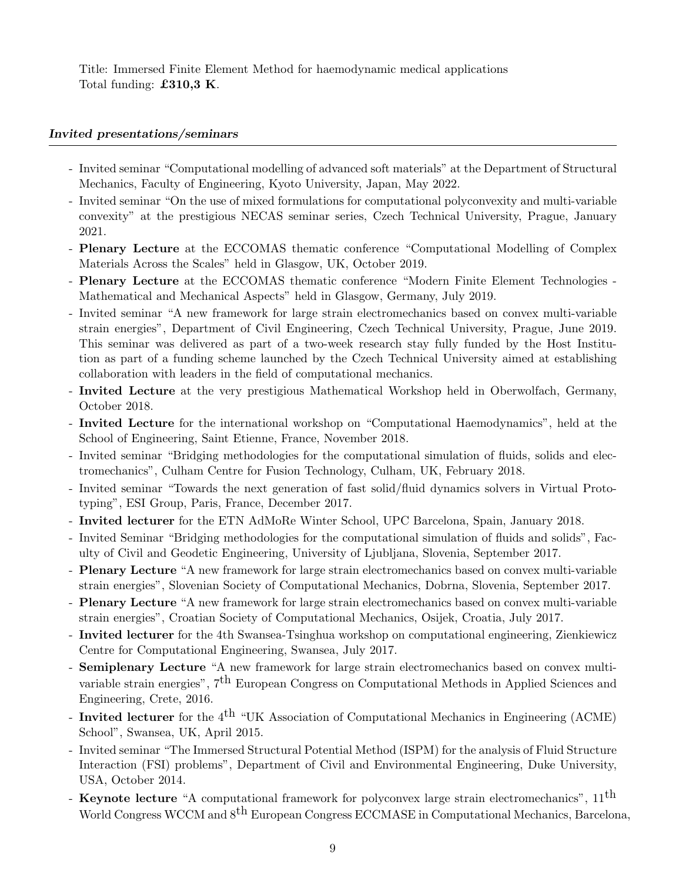Title: Immersed Finite Element Method for haemodynamic medical applications Total funding: £310,3 K.

### Invited presentations/seminars

- Invited seminar "Computational modelling of advanced soft materials" at the Department of Structural Mechanics, Faculty of Engineering, Kyoto University, Japan, May 2022.
- Invited seminar "On the use of mixed formulations for computational polyconvexity and multi-variable convexity" at the prestigious NECAS seminar series, Czech Technical University, Prague, January 2021.
- Plenary Lecture at the ECCOMAS thematic conference "Computational Modelling of Complex Materials Across the Scales" held in Glasgow, UK, October 2019.
- Plenary Lecture at the ECCOMAS thematic conference "Modern Finite Element Technologies Mathematical and Mechanical Aspects" held in Glasgow, Germany, July 2019.
- Invited seminar "A new framework for large strain electromechanics based on convex multi-variable strain energies", Department of Civil Engineering, Czech Technical University, Prague, June 2019. This seminar was delivered as part of a two-week research stay fully funded by the Host Institution as part of a funding scheme launched by the Czech Technical University aimed at establishing collaboration with leaders in the field of computational mechanics.
- Invited Lecture at the very prestigious Mathematical Workshop held in Oberwolfach, Germany, October 2018.
- Invited Lecture for the international workshop on "Computational Haemodynamics", held at the School of Engineering, Saint Etienne, France, November 2018.
- Invited seminar "Bridging methodologies for the computational simulation of fluids, solids and electromechanics", Culham Centre for Fusion Technology, Culham, UK, February 2018.
- Invited seminar "Towards the next generation of fast solid/fluid dynamics solvers in Virtual Prototyping", ESI Group, Paris, France, December 2017.
- Invited lecturer for the ETN AdMoRe Winter School, UPC Barcelona, Spain, January 2018.
- Invited Seminar "Bridging methodologies for the computational simulation of fluids and solids", Faculty of Civil and Geodetic Engineering, University of Ljubljana, Slovenia, September 2017.
- Plenary Lecture "A new framework for large strain electromechanics based on convex multi-variable strain energies", Slovenian Society of Computational Mechanics, Dobrna, Slovenia, September 2017.
- Plenary Lecture "A new framework for large strain electromechanics based on convex multi-variable strain energies", Croatian Society of Computational Mechanics, Osijek, Croatia, July 2017.
- Invited lecturer for the 4th Swansea-Tsinghua workshop on computational engineering, Zienkiewicz Centre for Computational Engineering, Swansea, July 2017.
- Semiplenary Lecture "A new framework for large strain electromechanics based on convex multivariable strain energies",  $7<sup>th</sup>$  European Congress on Computational Methods in Applied Sciences and Engineering, Crete, 2016.
- Invited lecturer for the  $4<sup>th</sup>$  "UK Association of Computational Mechanics in Engineering (ACME) School", Swansea, UK, April 2015.
- Invited seminar "The Immersed Structural Potential Method (ISPM) for the analysis of Fluid Structure Interaction (FSI) problems", Department of Civil and Environmental Engineering, Duke University, USA, October 2014.
- **Keynote lecture** "A computational framework for polyconvex large strain electromechanics",  $11^{\text{th}}$ World Congress WCCM and  $8^{\text{th}}$  European Congress ECCMASE in Computational Mechanics, Barcelona,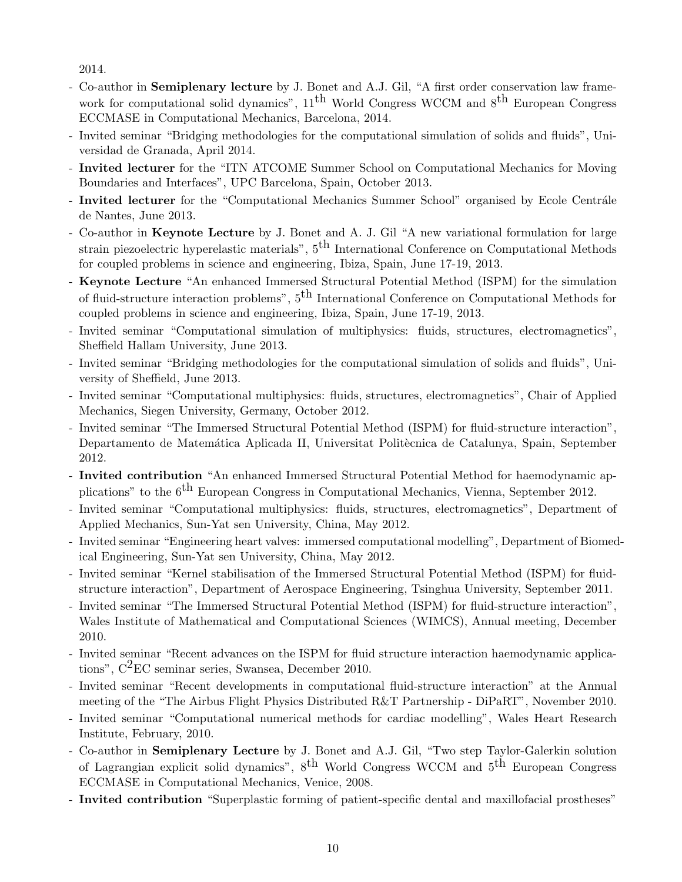2014.

- Co-author in Semiplenary lecture by J. Bonet and A.J. Gil, "A first order conservation law framework for computational solid dynamics",  $11<sup>th</sup>$  World Congress WCCM and  $8<sup>th</sup>$  European Congress ECCMASE in Computational Mechanics, Barcelona, 2014.
- Invited seminar "Bridging methodologies for the computational simulation of solids and fluids", Universidad de Granada, April 2014.
- Invited lecturer for the "ITN ATCOME Summer School on Computational Mechanics for Moving Boundaries and Interfaces", UPC Barcelona, Spain, October 2013.
- Invited lecturer for the "Computational Mechanics Summer School" organised by Ecole Centrále de Nantes, June 2013.
- Co-author in Keynote Lecture by J. Bonet and A. J. Gil "A new variational formulation for large strain piezoelectric hyperelastic materials",  $5<sup>th</sup>$  International Conference on Computational Methods for coupled problems in science and engineering, Ibiza, Spain, June 17-19, 2013.
- Keynote Lecture "An enhanced Immersed Structural Potential Method (ISPM) for the simulation of fluid-structure interaction problems",  $5<sup>th</sup>$  International Conference on Computational Methods for coupled problems in science and engineering, Ibiza, Spain, June 17-19, 2013.
- Invited seminar "Computational simulation of multiphysics: fluids, structures, electromagnetics", Sheffield Hallam University, June 2013.
- Invited seminar "Bridging methodologies for the computational simulation of solids and fluids", University of Sheffield, June 2013.
- Invited seminar "Computational multiphysics: fluids, structures, electromagnetics", Chair of Applied Mechanics, Siegen University, Germany, October 2012.
- Invited seminar "The Immersed Structural Potential Method (ISPM) for fluid-structure interaction", Departamento de Matemática Aplicada II, Universitat Politècnica de Catalunya, Spain, September 2012.
- Invited contribution "An enhanced Immersed Structural Potential Method for haemodynamic applications" to the 6<sup>th</sup> European Congress in Computational Mechanics, Vienna, September 2012.
- Invited seminar "Computational multiphysics: fluids, structures, electromagnetics", Department of Applied Mechanics, Sun-Yat sen University, China, May 2012.
- Invited seminar "Engineering heart valves: immersed computational modelling", Department of Biomedical Engineering, Sun-Yat sen University, China, May 2012.
- Invited seminar "Kernel stabilisation of the Immersed Structural Potential Method (ISPM) for fluidstructure interaction", Department of Aerospace Engineering, Tsinghua University, September 2011.
- Invited seminar "The Immersed Structural Potential Method (ISPM) for fluid-structure interaction", Wales Institute of Mathematical and Computational Sciences (WIMCS), Annual meeting, December 2010.
- Invited seminar "Recent advances on the ISPM for fluid structure interaction haemodynamic applications", C2EC seminar series, Swansea, December 2010.
- Invited seminar "Recent developments in computational fluid-structure interaction" at the Annual meeting of the "The Airbus Flight Physics Distributed R&T Partnership - DiPaRT", November 2010.
- Invited seminar "Computational numerical methods for cardiac modelling", Wales Heart Research Institute, February, 2010.
- Co-author in Semiplenary Lecture by J. Bonet and A.J. Gil, "Two step Taylor-Galerkin solution of Lagrangian explicit solid dynamics",  $8^{th}$  World Congress WCCM and  $5^{th}$  European Congress ECCMASE in Computational Mechanics, Venice, 2008.
- Invited contribution "Superplastic forming of patient-specific dental and maxillofacial prostheses"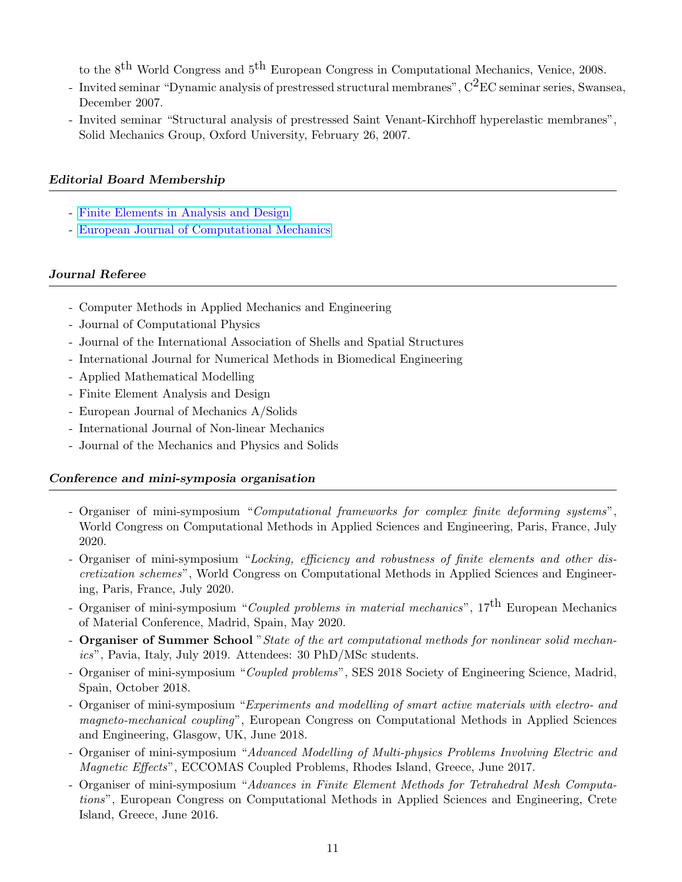to the 8th World Congress and 5th European Congress in Computational Mechanics, Venice, 2008.

- Invited seminar "Dynamic analysis of prestressed structural membranes",  $C^2EC$  seminar series, Swansea, December 2007.
- Invited seminar "Structural analysis of prestressed Saint Venant-Kirchhoff hyperelastic membranes", Solid Mechanics Group, Oxford University, February 26, 2007.

### Editorial Board Membership

- [Finite Elements in Analysis and Design](https://www.sciencedirect.com/journal/finite-elements-in-analysis-and-design/about/editorial-board)
- [European Journal of Computational Mechanics](http://www.tandfonline.com/action/journalInformation?show=editorialBoard&journalCode=tecm20#.Vz5PL5ErJhE)

### Journal Referee

- Computer Methods in Applied Mechanics and Engineering
- Journal of Computational Physics
- Journal of the International Association of Shells and Spatial Structures
- International Journal for Numerical Methods in Biomedical Engineering
- Applied Mathematical Modelling
- Finite Element Analysis and Design
- European Journal of Mechanics A/Solids
- International Journal of Non-linear Mechanics
- Journal of the Mechanics and Physics and Solids

### Conference and mini-symposia organisation

- Organiser of mini-symposium "Computational frameworks for complex finite deforming systems", World Congress on Computational Methods in Applied Sciences and Engineering, Paris, France, July 2020.
- Organiser of mini-symposium "Locking, efficiency and robustness of finite elements and other discretization schemes", World Congress on Computational Methods in Applied Sciences and Engineering, Paris, France, July 2020.
- Organiser of mini-symposium "Coupled problems in material mechanics",  $17<sup>th</sup>$  European Mechanics of Material Conference, Madrid, Spain, May 2020.
- Organiser of Summer School "State of the art computational methods for nonlinear solid mechanics", Pavia, Italy, July 2019. Attendees: 30 PhD/MSc students.
- Organiser of mini-symposium "Coupled problems", SES 2018 Society of Engineering Science, Madrid, Spain, October 2018.
- Organiser of mini-symposium "Experiments and modelling of smart active materials with electro- and magneto-mechanical coupling", European Congress on Computational Methods in Applied Sciences and Engineering, Glasgow, UK, June 2018.
- Organiser of mini-symposium "Advanced Modelling of Multi-physics Problems Involving Electric and Magnetic Effects", ECCOMAS Coupled Problems, Rhodes Island, Greece, June 2017.
- Organiser of mini-symposium "Advances in Finite Element Methods for Tetrahedral Mesh Computations", European Congress on Computational Methods in Applied Sciences and Engineering, Crete Island, Greece, June 2016.